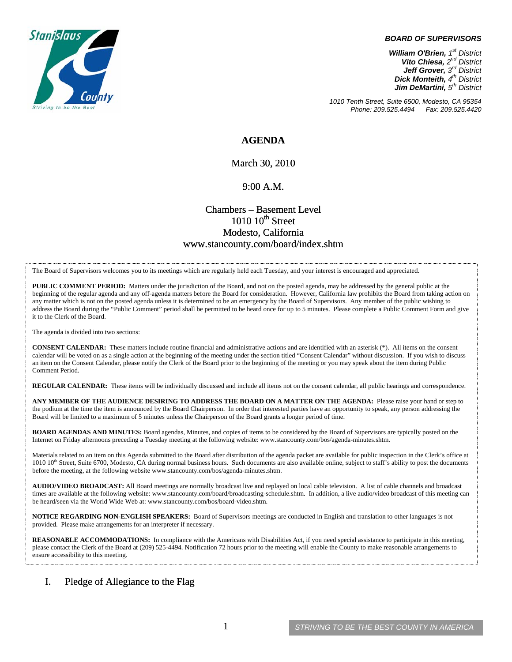

#### *BOARD OF SUPERVISORS*

*William O'Brien, 1st District Vito Chiesa, 2nd District Jeff Grover, 3rd District Dick Monteith, 4th District Jim DeMartini, 5th District*

*1010 Tenth Street, Suite 6500, Modesto, CA 95354 Phone: 209.525.4494* 

## **AGENDA**

March 30, 2010

### 9:00 A.M.

## Chambers – Basement Level  $1010~10$ <sup>th</sup> Street Modesto, California www.stancounty.com/board/index.shtm

The Board of Supervisors welcomes you to its meetings which are regularly held each Tuesday, and your interest is encouraged and appreciated.

**PUBLIC COMMENT PERIOD:** Matters under the jurisdiction of the Board, and not on the posted agenda, may be addressed by the general public at the beginning of the regular agenda and any off-agenda matters before the Board for consideration. However, California law prohibits the Board from taking action on any matter which is not on the posted agenda unless it is determined to be an emergency by the Board of Supervisors. Any member of the public wishing to address the Board during the "Public Comment" period shall be permitted to be heard once for up to 5 minutes. Please complete a Public Comment Form and give it to the Clerk of the Board.

The agenda is divided into two sections:

**CONSENT CALENDAR:** These matters include routine financial and administrative actions and are identified with an asterisk (\*). All items on the consent calendar will be voted on as a single action at the beginning of the meeting under the section titled "Consent Calendar" without discussion. If you wish to discuss an item on the Consent Calendar, please notify the Clerk of the Board prior to the beginning of the meeting or you may speak about the item during Public Comment Period.

**REGULAR CALENDAR:** These items will be individually discussed and include all items not on the consent calendar, all public hearings and correspondence.

**ANY MEMBER OF THE AUDIENCE DESIRING TO ADDRESS THE BOARD ON A MATTER ON THE AGENDA:** Please raise your hand or step to the podium at the time the item is announced by the Board Chairperson. In order that interested parties have an opportunity to speak, any person addressing the Board will be limited to a maximum of 5 minutes unless the Chairperson of the Board grants a longer period of time.

**BOARD AGENDAS AND MINUTES:** Board agendas, Minutes, and copies of items to be considered by the Board of Supervisors are typically posted on the Internet on Friday afternoons preceding a Tuesday meeting at the following website: www.stancounty.com/bos/agenda-minutes.shtm.

Materials related to an item on this Agenda submitted to the Board after distribution of the agenda packet are available for public inspection in the Clerk's office at 1010 10<sup>th</sup> Street, Suite 6700, Modesto, CA during normal business hours. Such documents are also available online, subject to staff's ability to post the documents before the meeting, at the following website www.stancounty.com/bos/agenda-minutes.shtm.

**AUDIO/VIDEO BROADCAST:** All Board meetings are normally broadcast live and replayed on local cable television. A list of cable channels and broadcast times are available at the following website: www.stancounty.com/board/broadcasting-schedule.shtm. In addition, a live audio/video broadcast of this meeting can be heard/seen via the World Wide Web at: www.stancounty.com/bos/board-video.shtm.

**NOTICE REGARDING NON-ENGLISH SPEAKERS:** Board of Supervisors meetings are conducted in English and translation to other languages is not provided. Please make arrangements for an interpreter if necessary.

**REASONABLE ACCOMMODATIONS:** In compliance with the Americans with Disabilities Act, if you need special assistance to participate in this meeting, please contact the Clerk of the Board at (209) 525-4494. Notification 72 hours prior to the meeting will enable the County to make reasonable arrangements to ensure accessibility to this meeting.

### I. Pledge of Allegiance to the Flag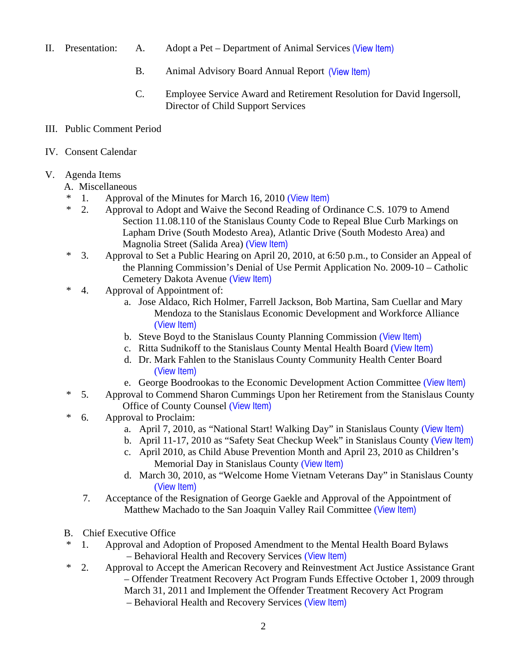- II. Presentation: A. Adopt a Pet Department of Animal Services (View Item)
	- B. Animal Advisory Board Annual Report (View Item)
	- C. Employee Service Award and Retirement Resolution for David Ingersoll, Director of Child Support Services
- III. Public Comment Period
- IV. Consent Calendar
- V. Agenda Items
	- A. Miscellaneous
	- \* 1. Approval of the Minutes for March 16, 2010 ([View Item\)](http://www.stancounty.com/bos/minutes/2010/min03-16-10.pdf)
	- \* 2. Approval to Adopt and Waive the Second Reading of Ordinance C.S. 1079 to Amend Section 11.08.110 of the Stanislaus County Code to Repeal Blue Curb Markings on Lapham Drive (South Modesto Area), Atlantic Drive (South Modesto Area) and Magnolia Street (Salida Area) ([View Item\)](http://www.stancounty.com/bos/agenda/2010/20100330/A02.pdf)
	- \* 3. Approval to Set a Public Hearing on April 20, 2010, at 6:50 p.m., to Consider an Appeal of the Planning Commission's Denial of Use Permit Application No. 2009-10 – Catholic Cemetery Dakota Avenue ([View Item\)](http://www.stancounty.com/bos/agenda/2010/20100330/A03.pdf)
	- \* 4. Approval of Appointment of:
		- a. Jose Aldaco, Rich Holmer, Farrell Jackson, Bob Martina, Sam Cuellar and Mary Mendoza to the Stanislaus Economic Development and Workforce Alliance ([View Item\)](http://www.stancounty.com/bos/agenda/2010/20100330/A04a.pdf)
		- b. Steve Boyd to the Stanislaus County Planning Commission ([View Item\)](http://www.stancounty.com/bos/agenda/2010/20100330/A04b.pdf)
		- c. Ritta Sudnikoff to the Stanislaus County Mental Health Board ([View Item\)](http://www.stancounty.com/bos/agenda/2010/20100330/A04c.pdf)
		- d. Dr. Mark Fahlen to the Stanislaus County Community Health Center Board ([View Item\)](http://www.stancounty.com/bos/agenda/2010/20100330/A04d.pdf)
		- e. George Boodrookas to the Economic Development Action Committee ([View Item\)](http://www.stancounty.com/bos/agenda/2010/20100330/A04e.pdf)
	- \* 5. Approval to Commend Sharon Cummings Upon her Retirement from the Stanislaus County Office of County Counsel ([View Item\)](http://www.stancounty.com/bos/agenda/2010/20100330/A05.pdf)
	- \* 6. Approval to Proclaim:
		- a. April 7, 2010, as "National Start! Walking Day" in Stanislaus County ([View Item\)](http://www.stancounty.com/bos/agenda/2010/20100330/A06a.pdf)
		- b. April 11-17, 2010 as "Safety Seat Checkup Week" in Stanislaus County ([View Item\)](http://www.stancounty.com/bos/agenda/2010/20100330/A06b.pdf)
		- c. April 2010, as Child Abuse Prevention Month and April 23, 2010 as Children's Memorial Day in Stanislaus County ([View Item\)](http://www.stancounty.com/bos/agenda/2010/20100330/A06c.pdf)
		- d. March 30, 2010, as "Welcome Home Vietnam Veterans Day" in Stanislaus County ([View Item\)](http://www.stancounty.com/bos/agenda/2010/20100330/A06d.pdf)
		- 7. Acceptance of the Resignation of George Gaekle and Approval of the Appointment of Matthew Machado to the San Joaquin Valley Rail Committee ([View Item\)](http://www.stancounty.com/bos/agenda/2010/20100330/A07.pdf)
	- B. Chief Executive Office
	- \* 1. Approval and Adoption of Proposed Amendment to the Mental Health Board Bylaws – Behavioral Health and Recovery Services ([View Item\)](http://www.stancounty.com/bos/agenda/2010/20100330/B01.pdf)
	- \* 2. Approval to Accept the American Recovery and Reinvestment Act Justice Assistance Grant – Offender Treatment Recovery Act Program Funds Effective October 1, 2009 through March 31, 2011 and Implement the Offender Treatment Recovery Act Program – Behavioral Health and Recovery Services ([View Item\)](http://www.stancounty.com/bos/agenda/2010/20100330/B02.pdf)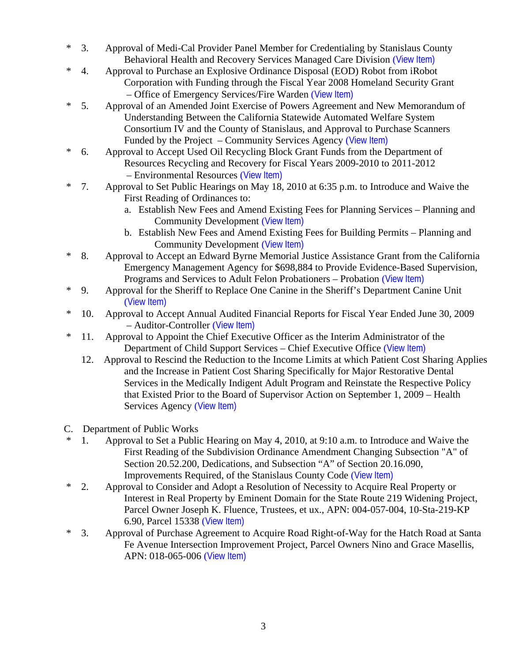- \* 3. Approval of Medi-Cal Provider Panel Member for Credentialing by Stanislaus County Behavioral Health and Recovery Services Managed Care Division ([View Item\)](http://www.stancounty.com/bos/agenda/2010/20100330/B03.pdf)
- \* 4. Approval to Purchase an Explosive Ordinance Disposal (EOD) Robot from iRobot Corporation with Funding through the Fiscal Year 2008 Homeland Security Grant – Office of Emergency Services/Fire Warden ([View Item\)](http://www.stancounty.com/bos/agenda/2010/20100330/B04.pdf)
- \* 5. Approval of an Amended Joint Exercise of Powers Agreement and New Memorandum of Understanding Between the California Statewide Automated Welfare System Consortium IV and the County of Stanislaus, and Approval to Purchase Scanners Funded by the Project – Community Services Agency ([View Item\)](http://www.stancounty.com/bos/agenda/2010/20100330/B05.pdf)
- \* 6. Approval to Accept Used Oil Recycling Block Grant Funds from the Department of Resources Recycling and Recovery for Fiscal Years 2009-2010 to 2011-2012 – Environmental Resources ([View Item\)](http://www.stancounty.com/bos/agenda/2010/20100330/B06.pdf)
- \* 7. Approval to Set Public Hearings on May 18, 2010 at 6:35 p.m. to Introduce and Waive the First Reading of Ordinances to:
	- a. Establish New Fees and Amend Existing Fees for Planning Services Planning and Community Development ([View Item\)](http://www.stancounty.com/bos/agenda/2010/20100330/B07a.pdf)
	- b. Establish New Fees and Amend Existing Fees for Building Permits Planning and Community Development ([View Item\)](http://www.stancounty.com/bos/agenda/2010/20100330/B07b.pdf)
- \* 8. Approval to Accept an Edward Byrne Memorial Justice Assistance Grant from the California Emergency Management Agency for \$698,884 to Provide Evidence-Based Supervision, Programs and Services to Adult Felon Probationers – Probation ([View Item\)](http://www.stancounty.com/bos/agenda/2010/20100330/B08.pdf)
- \* 9. Approval for the Sheriff to Replace One Canine in the Sheriff's Department Canine Unit ([View Item\)](http://www.stancounty.com/bos/agenda/2010/20100330/B09.pdf)
- \* 10. Approval to Accept Annual Audited Financial Reports for Fiscal Year Ended June 30, 2009 – Auditor-Controller ([View Item\)](http://www.stancounty.com/bos/agenda/2010/20100330/B10.pdf)
- \* 11. Approval to Appoint the Chief Executive Officer as the Interim Administrator of the Department of Child Support Services – Chief Executive Office ([View Item\)](http://www.stancounty.com/bos/agenda/2010/20100330/B11.pdf)
	- 12. Approval to Rescind the Reduction to the Income Limits at which Patient Cost Sharing Applies and the Increase in Patient Cost Sharing Specifically for Major Restorative Dental Services in the Medically Indigent Adult Program and Reinstate the Respective Policy that Existed Prior to the Board of Supervisor Action on September 1, 2009 – Health Services Agency ([View Item\)](http://www.stancounty.com/bos/agenda/2010/20100330/B12.pdf)
- C. Department of Public Works
	- 1. Approval to Set a Public Hearing on May 4, 2010, at 9:10 a.m. to Introduce and Waive the First Reading of the Subdivision Ordinance Amendment Changing Subsection "A" of Section 20.52.200, Dedications, and Subsection "A" of Section 20.16.090, Improvements Required, of the Stanislaus County Code ([View Item\)](http://www.stancounty.com/bos/agenda/2010/20100330/C01.pdf)
- \* 2. Approval to Consider and Adopt a Resolution of Necessity to Acquire Real Property or Interest in Real Property by Eminent Domain for the State Route 219 Widening Project, Parcel Owner Joseph K. Fluence, Trustees, et ux., APN: 004-057-004, 10-Sta-219-KP 6.90, Parcel 15338 ([View Item\)](http://www.stancounty.com/bos/agenda/2010/20100330/C02.pdf)
- \* 3. Approval of Purchase Agreement to Acquire Road Right-of-Way for the Hatch Road at Santa Fe Avenue Intersection Improvement Project, Parcel Owners Nino and Grace Masellis, APN: 018-065-006 ([View Item\)](http://www.stancounty.com/bos/agenda/2010/20100330/C03.pdf)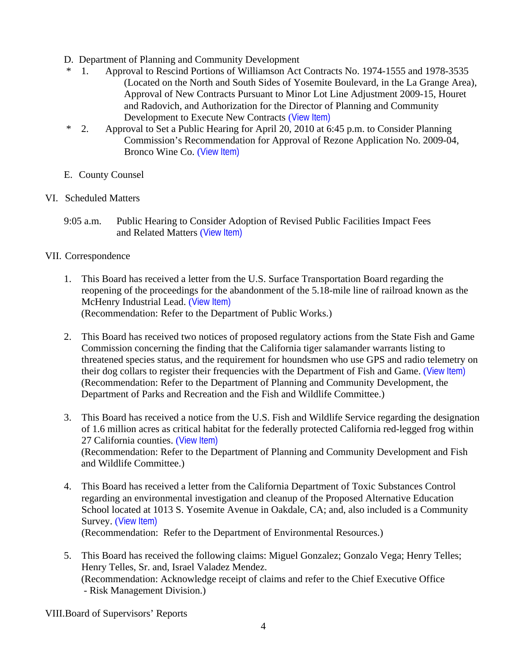- D. Department of Planning and Community Development
- \* 1. Approval to Rescind Portions of Williamson Act Contracts No. 1974-1555 and 1978-3535 (Located on the North and South Sides of Yosemite Boulevard, in the La Grange Area), Approval of New Contracts Pursuant to Minor Lot Line Adjustment 2009-15, Houret and Radovich, and Authorization for the Director of Planning and Community Development to Execute New Contracts ([View Item\)](http://www.stancounty.com/bos/agenda/2010/20100330/D01.pdf)
- \* 2. Approval to Set a Public Hearing for April 20, 2010 at 6:45 p.m. to Consider Planning Commission's Recommendation for Approval of Rezone Application No. 2009-04, Bronco Wine Co. ([View Item\)](http://www.stancounty.com/bos/agenda/2010/20100330/D02.pdf)
- E. County Counsel
- VI. Scheduled Matters
	- 9:05 a.m. Public Hearing to Consider Adoption of Revised Public Facilities Impact Fees and Related Matters ([View Item\)](http://www.stancounty.com/bos/agenda/2010/20100330/PH905.pdf)

# VII. Correspondence

- 1. This Board has received a letter from the U.S. Surface Transportation Board regarding the reopening of the proceedings for the abandonment of the 5.18-mile line of railroad known as the McHenry Industrial Lead. ([View Item\)](http://www.stancounty.com/bos/agenda/2010/20100330/Corr01.pdf) (Recommendation: Refer to the Department of Public Works.)
- 2. This Board has received two notices of proposed regulatory actions from the State Fish and Game Commission concerning the finding that the California tiger salamander warrants listing to threatened species status, and the requirement for houndsmen who use GPS and radio telemetry on their dog collars to register their frequencies with the Department of Fish and Game. ([View Item\)](http://www.stancounty.com/bos/agenda/2010/20100330/Corr02.pdf) (Recommendation: Refer to the Department of Planning and Community Development, the Department of Parks and Recreation and the Fish and Wildlife Committee.)
- 3. This Board has received a notice from the U.S. Fish and Wildlife Service regarding the designation of 1.6 million acres as critical habitat for the federally protected California red-legged frog within 27 California counties. ([View Item\)](http://www.stancounty.com/bos/agenda/2010/20100330/Corr03.pdf) (Recommendation: Refer to the Department of Planning and Community Development and Fish and Wildlife Committee.)
- 4. This Board has received a letter from the California Department of Toxic Substances Control regarding an environmental investigation and cleanup of the Proposed Alternative Education School located at 1013 S. Yosemite Avenue in Oakdale, CA; and, also included is a Community Survey. ([View Item\)](http://www.stancounty.com/bos/agenda/2010/20100330/Corr04.pdf) (Recommendation: Refer to the Department of Environmental Resources.)
- 5. This Board has received the following claims: Miguel Gonzalez; Gonzalo Vega; Henry Telles; Henry Telles, Sr. and, Israel Valadez Mendez. (Recommendation: Acknowledge receipt of claims and refer to the Chief Executive Office - Risk Management Division.)

VIII.Board of Supervisors' Reports